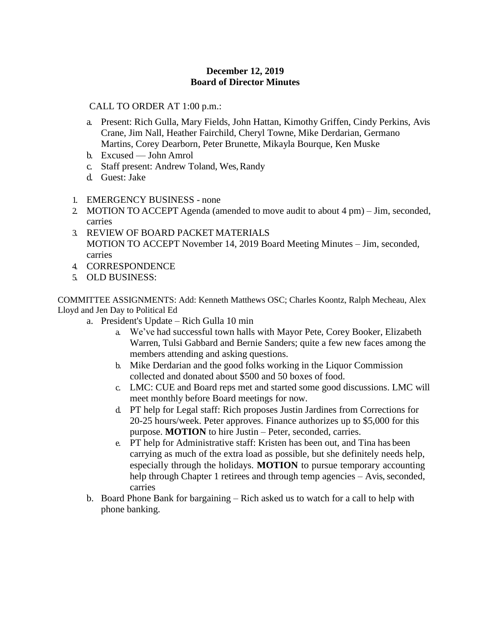## **December 12, 2019 Board of Director Minutes**

## CALL TO ORDER AT 1:00 p.m.:

- a. Present: Rich Gulla, Mary Fields, John Hattan, Kimothy Griffen, Cindy Perkins, Avis Crane, Jim Nall, Heather Fairchild, Cheryl Towne, Mike Derdarian, Germano Martins, Corey Dearborn, Peter Brunette, Mikayla Bourque, Ken Muske
- b. Excused John Amrol
- c. Staff present: Andrew Toland, Wes, Randy
- d. Guest: Jake
- 1. EMERGENCY BUSINESS none
- 2. MOTION TO ACCEPT Agenda (amended to move audit to about 4 pm) Jim, seconded, carries
- 3. REVIEW OF BOARD PACKET MATERIALS MOTION TO ACCEPT November 14, 2019 Board Meeting Minutes – Jim, seconded, carries
- 4. CORRESPONDENCE
- 5. OLD BUSINESS:

COMMITTEE ASSIGNMENTS: Add: Kenneth Matthews OSC; Charles Koontz, Ralph Mecheau, Alex Lloyd and Jen Day to Political Ed

- a. President's Update Rich Gulla 10 min
	- a. We've had successful town halls with Mayor Pete, Corey Booker, Elizabeth Warren, Tulsi Gabbard and Bernie Sanders; quite a few new faces among the members attending and asking questions.
	- b. Mike Derdarian and the good folks working in the Liquor Commission collected and donated about \$500 and 50 boxes of food.
	- c. LMC: CUE and Board reps met and started some good discussions. LMC will meet monthly before Board meetings for now.
	- d. PT help for Legal staff: Rich proposes Justin Jardines from Corrections for 20-25 hours/week. Peter approves. Finance authorizes up to \$5,000 for this purpose. **MOTION** to hire Justin – Peter, seconded, carries.
	- e. PT help for Administrative staff: Kristen has been out, and Tina has been carrying as much of the extra load as possible, but she definitely needs help, especially through the holidays. **MOTION** to pursue temporary accounting help through Chapter 1 retirees and through temp agencies – Avis, seconded, carries
- b. Board Phone Bank for bargaining Rich asked us to watch for a call to help with phone banking.